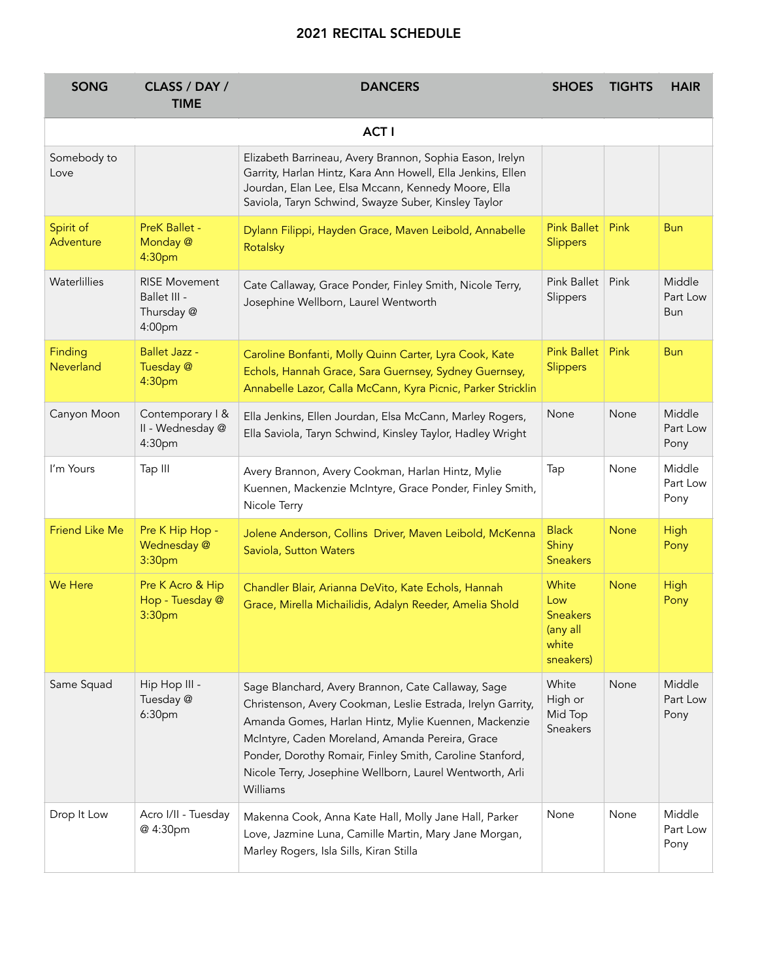## 2021 RECITAL SCHEDULE

| <b>SONG</b>            | CLASS / DAY /<br><b>TIME</b>                                 | <b>DANCERS</b>                                                                                                                                                                                                                                                                                                                                                   | <b>SHOES</b>                                                      | <b>TIGHTS</b> | <b>HAIR</b>                |  |  |
|------------------------|--------------------------------------------------------------|------------------------------------------------------------------------------------------------------------------------------------------------------------------------------------------------------------------------------------------------------------------------------------------------------------------------------------------------------------------|-------------------------------------------------------------------|---------------|----------------------------|--|--|
| <b>ACTI</b>            |                                                              |                                                                                                                                                                                                                                                                                                                                                                  |                                                                   |               |                            |  |  |
| Somebody to<br>Love    |                                                              | Elizabeth Barrineau, Avery Brannon, Sophia Eason, Irelyn<br>Garrity, Harlan Hintz, Kara Ann Howell, Ella Jenkins, Ellen<br>Jourdan, Elan Lee, Elsa Mccann, Kennedy Moore, Ella<br>Saviola, Taryn Schwind, Swayze Suber, Kinsley Taylor                                                                                                                           |                                                                   |               |                            |  |  |
| Spirit of<br>Adventure | <b>PreK Ballet -</b><br>Monday @<br>4:30pm                   | Dylann Filippi, Hayden Grace, Maven Leibold, Annabelle<br>Rotalsky                                                                                                                                                                                                                                                                                               | <b>Pink Ballet</b><br>Slippers                                    | Pink          | <b>Bun</b>                 |  |  |
| Waterlillies           | <b>RISE Movement</b><br>Ballet III -<br>Thursday @<br>4:00pm | Cate Callaway, Grace Ponder, Finley Smith, Nicole Terry,<br>Josephine Wellborn, Laurel Wentworth                                                                                                                                                                                                                                                                 | <b>Pink Ballet</b><br>Slippers                                    | Pink          | Middle<br>Part Low<br>Bun  |  |  |
| Finding<br>Neverland   | <b>Ballet Jazz -</b><br>Tuesday @<br>4:30pm                  | Caroline Bonfanti, Molly Quinn Carter, Lyra Cook, Kate<br>Echols, Hannah Grace, Sara Guernsey, Sydney Guernsey,<br>Annabelle Lazor, Calla McCann, Kyra Picnic, Parker Stricklin                                                                                                                                                                                  | <b>Pink Ballet</b><br>Slippers                                    | Pink          | <b>Bun</b>                 |  |  |
| Canyon Moon            | Contemporary I &<br>II - Wednesday @<br>4:30pm               | Ella Jenkins, Ellen Jourdan, Elsa McCann, Marley Rogers,<br>Ella Saviola, Taryn Schwind, Kinsley Taylor, Hadley Wright                                                                                                                                                                                                                                           | None                                                              | None          | Middle<br>Part Low<br>Pony |  |  |
| I'm Yours              | Tap III                                                      | Avery Brannon, Avery Cookman, Harlan Hintz, Mylie<br>Kuennen, Mackenzie McIntyre, Grace Ponder, Finley Smith,<br>Nicole Terry                                                                                                                                                                                                                                    | Tap                                                               | None          | Middle<br>Part Low<br>Pony |  |  |
| <b>Friend Like Me</b>  | Pre K Hip Hop -<br>Wednesday @<br>3:30pm                     | Jolene Anderson, Collins Driver, Maven Leibold, McKenna<br>Saviola, Sutton Waters                                                                                                                                                                                                                                                                                | <b>Black</b><br>Shiny<br><b>Sneakers</b>                          | <b>None</b>   | <b>High</b><br>Pony        |  |  |
| <b>We Here</b>         | Pre K Acro & Hip<br>Hop - Tuesday @<br>3:30pm                | Chandler Blair, Arianna DeVito, Kate Echols, Hannah<br>Grace, Mirella Michailidis, Adalyn Reeder, Amelia Shold                                                                                                                                                                                                                                                   | White<br>Low<br><b>Sneakers</b><br>(any all<br>white<br>sneakers) | <b>None</b>   | High<br>Pony               |  |  |
| Same Squad             | Hip Hop III -<br>Tuesday @<br>6:30pm                         | Sage Blanchard, Avery Brannon, Cate Callaway, Sage<br>Christenson, Avery Cookman, Leslie Estrada, Irelyn Garrity,<br>Amanda Gomes, Harlan Hintz, Mylie Kuennen, Mackenzie<br>McIntyre, Caden Moreland, Amanda Pereira, Grace<br>Ponder, Dorothy Romair, Finley Smith, Caroline Stanford,<br>Nicole Terry, Josephine Wellborn, Laurel Wentworth, Arli<br>Williams | White<br>High or<br>Mid Top<br>Sneakers                           | None          | Middle<br>Part Low<br>Pony |  |  |
| Drop It Low            | Acro I/II - Tuesday<br>@ 4:30pm                              | Makenna Cook, Anna Kate Hall, Molly Jane Hall, Parker<br>Love, Jazmine Luna, Camille Martin, Mary Jane Morgan,<br>Marley Rogers, Isla Sills, Kiran Stilla                                                                                                                                                                                                        | None                                                              | None          | Middle<br>Part Low<br>Pony |  |  |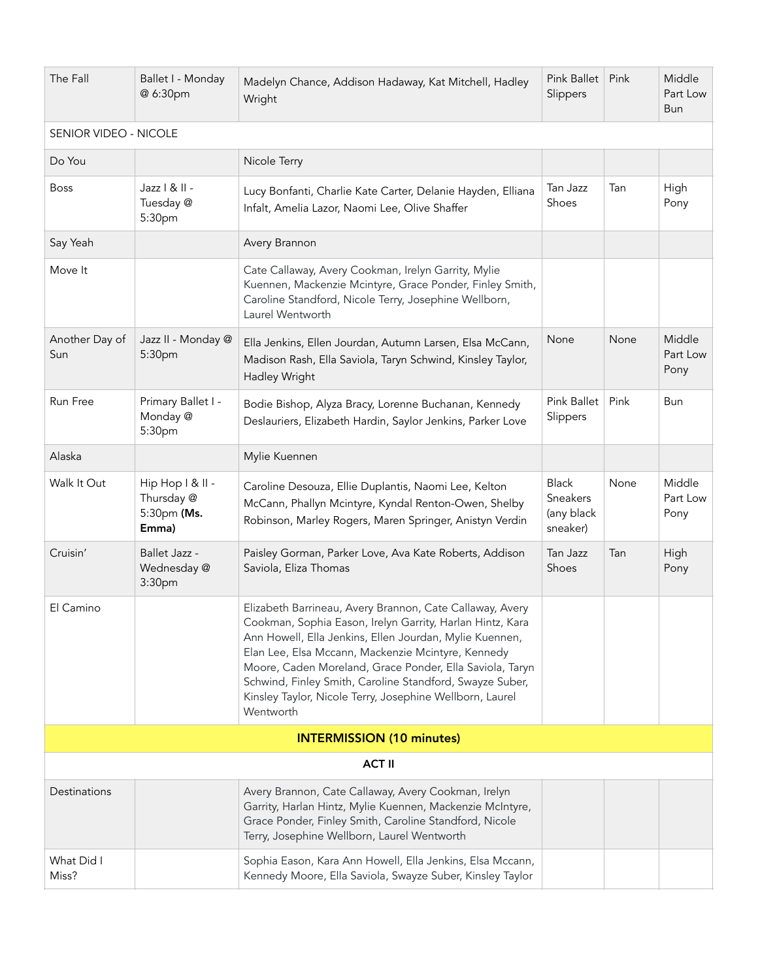| The Fall                         | Ballet I - Monday<br>@ 6:30pm                          | Madelyn Chance, Addison Hadaway, Kat Mitchell, Hadley<br>Wright                                                                                                                                                                                                                                                                                                                                                                         | <b>Pink Ballet</b><br>Slippers                     | Pink | Middle<br>Part Low<br>Bun  |  |  |
|----------------------------------|--------------------------------------------------------|-----------------------------------------------------------------------------------------------------------------------------------------------------------------------------------------------------------------------------------------------------------------------------------------------------------------------------------------------------------------------------------------------------------------------------------------|----------------------------------------------------|------|----------------------------|--|--|
| SENIOR VIDEO - NICOLE            |                                                        |                                                                                                                                                                                                                                                                                                                                                                                                                                         |                                                    |      |                            |  |  |
| Do You                           |                                                        | Nicole Terry                                                                                                                                                                                                                                                                                                                                                                                                                            |                                                    |      |                            |  |  |
| <b>Boss</b>                      | Jazz   &    -<br>Tuesday @<br>5:30pm                   | Lucy Bonfanti, Charlie Kate Carter, Delanie Hayden, Elliana<br>Infalt, Amelia Lazor, Naomi Lee, Olive Shaffer                                                                                                                                                                                                                                                                                                                           | Tan Jazz<br>Shoes                                  | Tan  | High<br>Pony               |  |  |
| Say Yeah                         |                                                        | Avery Brannon                                                                                                                                                                                                                                                                                                                                                                                                                           |                                                    |      |                            |  |  |
| Move It                          |                                                        | Cate Callaway, Avery Cookman, Irelyn Garrity, Mylie<br>Kuennen, Mackenzie Mcintyre, Grace Ponder, Finley Smith,<br>Caroline Standford, Nicole Terry, Josephine Wellborn,<br>Laurel Wentworth                                                                                                                                                                                                                                            |                                                    |      |                            |  |  |
| Another Day of<br>Sun            | Jazz II - Monday @<br>5:30pm                           | Ella Jenkins, Ellen Jourdan, Autumn Larsen, Elsa McCann,<br>Madison Rash, Ella Saviola, Taryn Schwind, Kinsley Taylor,<br>Hadley Wright                                                                                                                                                                                                                                                                                                 | None                                               | None | Middle<br>Part Low<br>Pony |  |  |
| Run Free                         | Primary Ballet I -<br>Monday @<br>5:30pm               | Bodie Bishop, Alyza Bracy, Lorenne Buchanan, Kennedy<br>Deslauriers, Elizabeth Hardin, Saylor Jenkins, Parker Love                                                                                                                                                                                                                                                                                                                      | <b>Pink Ballet</b><br>Slippers                     | Pink | Bun                        |  |  |
| Alaska                           |                                                        | Mylie Kuennen                                                                                                                                                                                                                                                                                                                                                                                                                           |                                                    |      |                            |  |  |
| Walk It Out                      | Hip Hop I & II -<br>Thursday @<br>5:30pm (Ms.<br>Emma) | Caroline Desouza, Ellie Duplantis, Naomi Lee, Kelton<br>McCann, Phallyn Mcintyre, Kyndal Renton-Owen, Shelby<br>Robinson, Marley Rogers, Maren Springer, Anistyn Verdin                                                                                                                                                                                                                                                                 | <b>Black</b><br>Sneakers<br>(any black<br>sneaker) | None | Middle<br>Part Low<br>Pony |  |  |
| Cruisin'                         | Ballet Jazz -<br>Wednesday @<br>3:30pm                 | Paisley Gorman, Parker Love, Ava Kate Roberts, Addison<br>Saviola, Eliza Thomas                                                                                                                                                                                                                                                                                                                                                         | Tan Jazz<br>Shoes                                  | Tan  | High<br>Pony               |  |  |
| El Camino                        |                                                        | Elizabeth Barrineau, Avery Brannon, Cate Callaway, Avery<br>Cookman, Sophia Eason, Irelyn Garrity, Harlan Hintz, Kara<br>Ann Howell, Ella Jenkins, Ellen Jourdan, Mylie Kuennen,<br>Elan Lee, Elsa Mccann, Mackenzie Mcintyre, Kennedy<br>Moore, Caden Moreland, Grace Ponder, Ella Saviola, Taryn<br>Schwind, Finley Smith, Caroline Standford, Swayze Suber,<br>Kinsley Taylor, Nicole Terry, Josephine Wellborn, Laurel<br>Wentworth |                                                    |      |                            |  |  |
| <b>INTERMISSION (10 minutes)</b> |                                                        |                                                                                                                                                                                                                                                                                                                                                                                                                                         |                                                    |      |                            |  |  |
| <b>ACT II</b>                    |                                                        |                                                                                                                                                                                                                                                                                                                                                                                                                                         |                                                    |      |                            |  |  |
| Destinations                     |                                                        | Avery Brannon, Cate Callaway, Avery Cookman, Irelyn<br>Garrity, Harlan Hintz, Mylie Kuennen, Mackenzie McIntyre,<br>Grace Ponder, Finley Smith, Caroline Standford, Nicole<br>Terry, Josephine Wellborn, Laurel Wentworth                                                                                                                                                                                                               |                                                    |      |                            |  |  |
| What Did I<br>Miss?              |                                                        | Sophia Eason, Kara Ann Howell, Ella Jenkins, Elsa Mccann,<br>Kennedy Moore, Ella Saviola, Swayze Suber, Kinsley Taylor                                                                                                                                                                                                                                                                                                                  |                                                    |      |                            |  |  |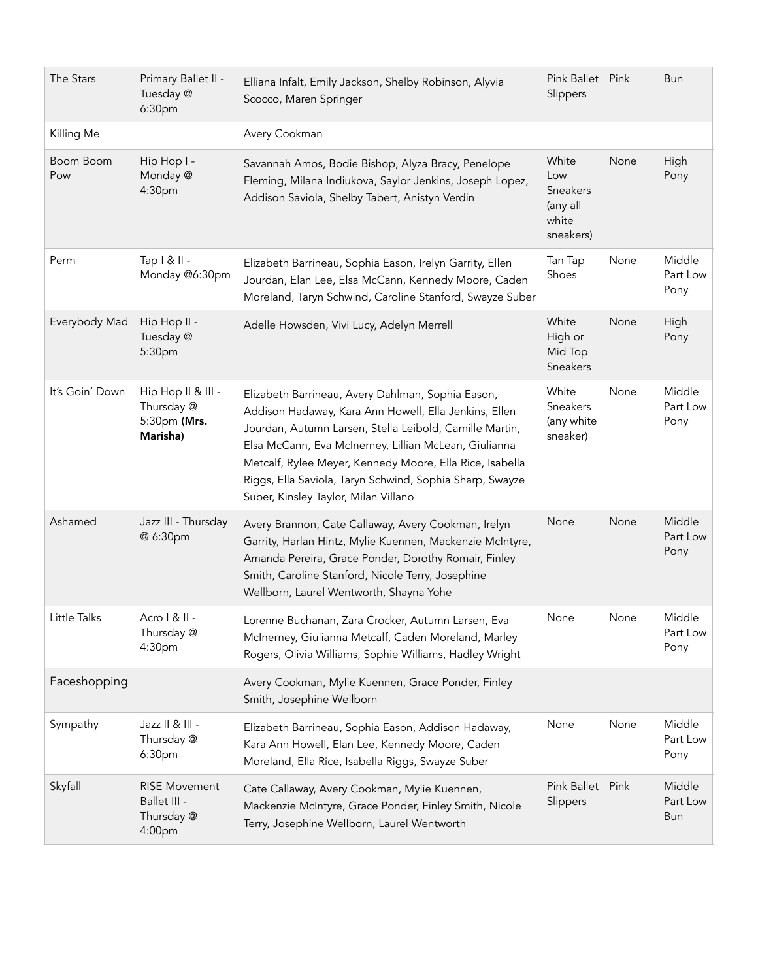| The Stars        | Primary Ballet II -<br>Tuesday @<br>6:30pm                   | Elliana Infalt, Emily Jackson, Shelby Robinson, Alyvia<br>Scocco, Maren Springer                                                                                                                                                                                                                                                                                                               | <b>Pink Ballet</b><br>Slippers                             | Pink | Bun                        |
|------------------|--------------------------------------------------------------|------------------------------------------------------------------------------------------------------------------------------------------------------------------------------------------------------------------------------------------------------------------------------------------------------------------------------------------------------------------------------------------------|------------------------------------------------------------|------|----------------------------|
| Killing Me       |                                                              | Avery Cookman                                                                                                                                                                                                                                                                                                                                                                                  |                                                            |      |                            |
| Boom Boom<br>Pow | Hip Hop I -<br>Monday @<br>4:30pm                            | Savannah Amos, Bodie Bishop, Alyza Bracy, Penelope<br>Fleming, Milana Indiukova, Saylor Jenkins, Joseph Lopez,<br>Addison Saviola, Shelby Tabert, Anistyn Verdin                                                                                                                                                                                                                               | White<br>Low<br>Sneakers<br>(any all<br>white<br>sneakers) | None | High<br>Pony               |
| Perm             | Tap   &    -<br>Monday @6:30pm                               | Elizabeth Barrineau, Sophia Eason, Irelyn Garrity, Ellen<br>Jourdan, Elan Lee, Elsa McCann, Kennedy Moore, Caden<br>Moreland, Taryn Schwind, Caroline Stanford, Swayze Suber                                                                                                                                                                                                                   | Tan Tap<br>Shoes                                           | None | Middle<br>Part Low<br>Pony |
| Everybody Mad    | Hip Hop II -<br>Tuesday @<br>5:30pm                          | Adelle Howsden, Vivi Lucy, Adelyn Merrell                                                                                                                                                                                                                                                                                                                                                      | White<br>High or<br>Mid Top<br>Sneakers                    | None | High<br>Pony               |
| It's Goin' Down  | Hip Hop II & III -<br>Thursday @<br>5:30pm (Mrs.<br>Marisha) | Elizabeth Barrineau, Avery Dahlman, Sophia Eason,<br>Addison Hadaway, Kara Ann Howell, Ella Jenkins, Ellen<br>Jourdan, Autumn Larsen, Stella Leibold, Camille Martin,<br>Elsa McCann, Eva McInerney, Lillian McLean, Giulianna<br>Metcalf, Rylee Meyer, Kennedy Moore, Ella Rice, Isabella<br>Riggs, Ella Saviola, Taryn Schwind, Sophia Sharp, Swayze<br>Suber, Kinsley Taylor, Milan Villano | White<br>Sneakers<br>(any white<br>sneaker)                | None | Middle<br>Part Low<br>Pony |
| Ashamed          | Jazz III - Thursday<br>@ 6:30pm                              | Avery Brannon, Cate Callaway, Avery Cookman, Irelyn<br>Garrity, Harlan Hintz, Mylie Kuennen, Mackenzie McIntyre,<br>Amanda Pereira, Grace Ponder, Dorothy Romair, Finley<br>Smith, Caroline Stanford, Nicole Terry, Josephine<br>Wellborn, Laurel Wentworth, Shayna Yohe                                                                                                                       | None                                                       | None | Middle<br>Part Low<br>Pony |
| Little Talks     | Acro   &    -<br>Thursday @<br>4:30pm                        | Lorenne Buchanan, Zara Crocker, Autumn Larsen, Eva<br>McInerney, Giulianna Metcalf, Caden Moreland, Marley<br>Rogers, Olivia Williams, Sophie Williams, Hadley Wright                                                                                                                                                                                                                          | None                                                       | None | Middle<br>Part Low<br>Pony |
| Faceshopping     |                                                              | Avery Cookman, Mylie Kuennen, Grace Ponder, Finley<br>Smith, Josephine Wellborn                                                                                                                                                                                                                                                                                                                |                                                            |      |                            |
| Sympathy         | Jazz II & III -<br>Thursday @<br>6:30pm                      | Elizabeth Barrineau, Sophia Eason, Addison Hadaway,<br>Kara Ann Howell, Elan Lee, Kennedy Moore, Caden<br>Moreland, Ella Rice, Isabella Riggs, Swayze Suber                                                                                                                                                                                                                                    | None                                                       | None | Middle<br>Part Low<br>Pony |
| Skyfall          | <b>RISE Movement</b><br>Ballet III -<br>Thursday @<br>4:00pm | Cate Callaway, Avery Cookman, Mylie Kuennen,<br>Mackenzie McIntyre, Grace Ponder, Finley Smith, Nicole<br>Terry, Josephine Wellborn, Laurel Wentworth                                                                                                                                                                                                                                          | <b>Pink Ballet</b><br>Slippers                             | Pink | Middle<br>Part Low<br>Bun  |